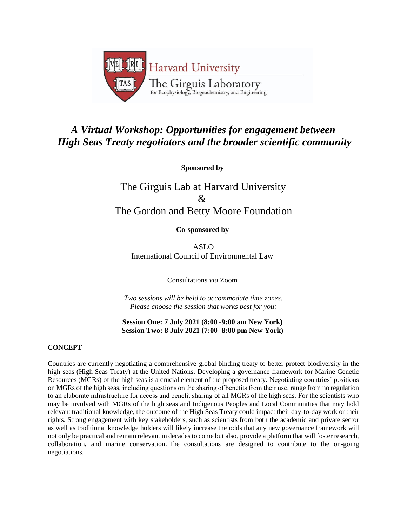

## *A Virtual Workshop: Opportunities for engagement between High Seas Treaty negotiators and the broader scientific community*

**Sponsored by**

# The Girguis Lab at Harvard University  $\mathcal{R}_{\mathcal{F}}$ The Gordon and Betty Moore Foundation

**Co-sponsored by**

ASLO International Council of Environmental Law

Consultations *via* Zoom

*Two sessions will be held to accommodate time zones. Please choose the session that works best for you:*

**Session One: 7 July 2021 (8:00 -9:00 am New York) Session Two: 8 July 2021 (7:00 -8:00 pm New York)**

### **CONCEPT**

Countries are currently negotiating a comprehensive global binding treaty to better protect biodiversity in the high seas (High Seas Treaty) at the United Nations. Developing a governance framework for Marine Genetic Resources (MGRs) of the high seas is a crucial element of the proposed treaty. Negotiating countries' positions on MGRs of the high seas, including questions on the sharing of benefits from their use, range from no regulation to an elaborate infrastructure for access and benefit sharing of all MGRs of the high seas. For the scientists who may be involved with MGRs of the high seas and Indigenous Peoples and Local Communities that may hold relevant traditional knowledge, the outcome of the High Seas Treaty could impact their day-to-day work or their rights. Strong engagement with key stakeholders, such as scientists from both the academic and private sector as well as traditional knowledge holders will likely increase the odds that any new governance framework will not only be practical and remain relevant in decades to come but also, provide a platform that will foster research, collaboration, and marine conservation. The consultations are designed to contribute to the on-going negotiations.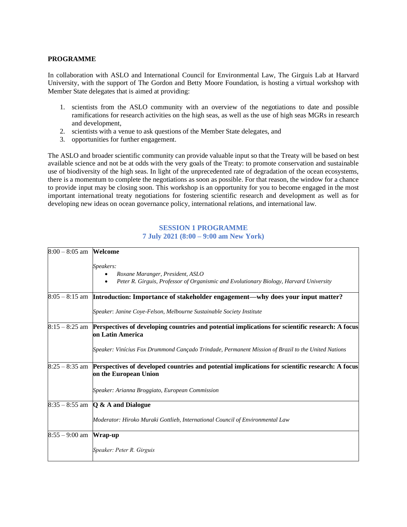#### **PROGRAMME**

In collaboration with ASLO and International Council for Environmental Law, The Girguis Lab at Harvard University, with the support of The Gordon and Betty Moore Foundation, is hosting a virtual workshop with Member State delegates that is aimed at providing:

- 1. scientists from the ASLO community with an overview of the negotiations to date and possible ramifications for research activities on the high seas, as well as the use of high seas MGRs in research and development,
- 2. scientists with a venue to ask questions of the Member State delegates, and
- 3. opportunities for further engagement.

The ASLO and broader scientific community can provide valuable input so that the Treaty will be based on best available science and not be at odds with the very goals of the Treaty: to promote conservation and sustainable use of biodiversity of the high seas. In light of the unprecedented rate of degradation of the ocean ecosystems, there is a momentum to complete the negotiations as soon as possible. For that reason, the window for a chance to provide input may be closing soon. This workshop is an opportunity for you to become engaged in the most important international treaty negotiations for fostering scientific research and development as well as for developing new ideas on ocean governance policy, international relations, and international law.

#### **SESSION 1 PROGRAMME 7 July 2021 (8:00 – 9:00 am New York)**

| $8:00 - 8:05$ am <b>Welcome</b> |                                                                                                    |
|---------------------------------|----------------------------------------------------------------------------------------------------|
|                                 | Speakers:                                                                                          |
|                                 | Roxane Maranger, President, ASLO                                                                   |
|                                 | Peter R. Girguis, Professor of Organismic and Evolutionary Biology, Harvard University             |
|                                 | $8:05-8:15$ am Introduction: Importance of stakeholder engagement—why does your input matter?      |
|                                 | Speaker: Janine Coye-Felson, Melbourne Sustainable Society Institute                               |
| $8:15 - 8:25$ am                | Perspectives of developing countries and potential implications for scientific research: A focus   |
|                                 | on Latin America                                                                                   |
|                                 | Speaker: Vinícius Fox Drummond Cançado Trindade, Permanent Mission of Brazil to the United Nations |
| $8:25 - 8:35$ am                | Perspectives of developed countries and potential implications for scientific research: A focus    |
|                                 | on the European Union                                                                              |
|                                 | Speaker: Arianna Broggiato, European Commission                                                    |
|                                 | $8:35 - 8:55$ am $\bigotimes$ & A and Dialogue                                                     |
|                                 | Moderator: Hiroko Muraki Gottlieb, International Council of Environmental Law                      |
| $8:55 - 9:00$ am                | Wrap-up                                                                                            |
|                                 | Speaker: Peter R. Girguis                                                                          |